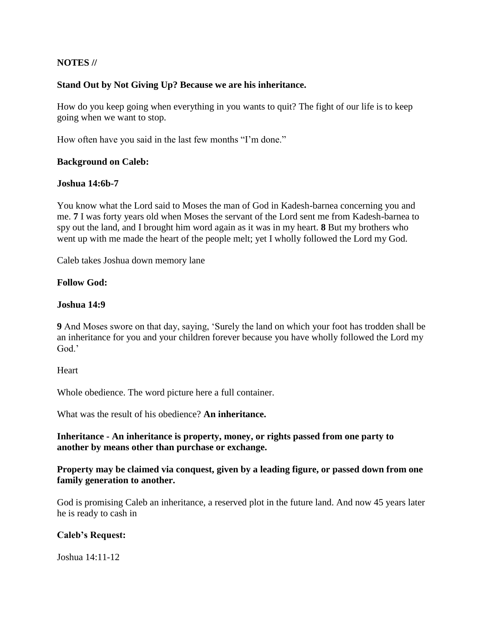# **NOTES //**

## **Stand Out by Not Giving Up? Because we are his inheritance.**

How do you keep going when everything in you wants to quit? The fight of our life is to keep going when we want to stop.

How often have you said in the last few months "I'm done."

### **Background on Caleb:**

### **Joshua 14:6b-7**

You know what the Lord said to Moses the man of God in Kadesh-barnea concerning you and me. **7** I was forty years old when Moses the servant of the Lord sent me from Kadesh-barnea to spy out the land, and I brought him word again as it was in my heart. **8** But my brothers who went up with me made the heart of the people melt; yet I wholly followed the Lord my God.

Caleb takes Joshua down memory lane

### **Follow God:**

### **Joshua 14:9**

**9** And Moses swore on that day, saying, 'Surely the land on which your foot has trodden shall be an inheritance for you and your children forever because you have wholly followed the Lord my God.'

#### **Heart**

Whole obedience. The word picture here a full container.

What was the result of his obedience? **An inheritance.**

**Inheritance - An inheritance is property, money, or rights passed from one party to another by means other than purchase or exchange.**

## **Property may be claimed via conquest, given by a leading figure, or passed down from one family generation to another.**

God is promising Caleb an inheritance, a reserved plot in the future land. And now 45 years later he is ready to cash in

## **Caleb's Request:**

Joshua 14:11-12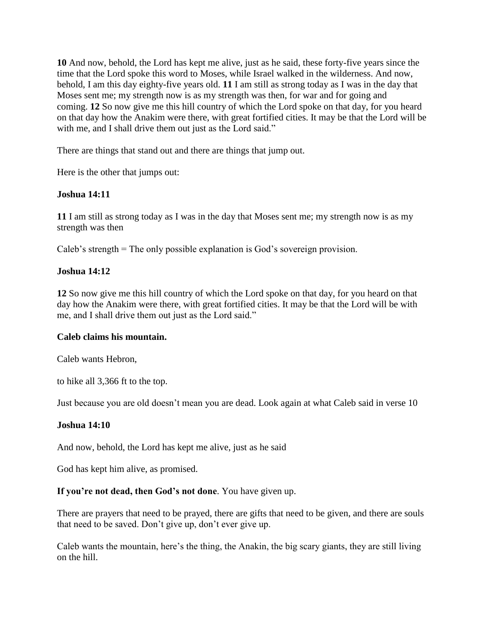**10** And now, behold, the Lord has kept me alive, just as he said, these forty-five years since the time that the Lord spoke this word to Moses, while Israel walked in the wilderness. And now, behold, I am this day eighty-five years old. **11** I am still as strong today as I was in the day that Moses sent me; my strength now is as my strength was then, for war and for going and coming. **12** So now give me this hill country of which the Lord spoke on that day, for you heard on that day how the Anakim were there, with great fortified cities. It may be that the Lord will be with me, and I shall drive them out just as the Lord said."

There are things that stand out and there are things that jump out.

Here is the other that jumps out:

### **Joshua 14:11**

**11** I am still as strong today as I was in the day that Moses sent me; my strength now is as my strength was then

Caleb's strength = The only possible explanation is God's sovereign provision.

### **Joshua 14:12**

**12** So now give me this hill country of which the Lord spoke on that day, for you heard on that day how the Anakim were there, with great fortified cities. It may be that the Lord will be with me, and I shall drive them out just as the Lord said."

#### **Caleb claims his mountain.**

Caleb wants Hebron,

to hike all 3,366 ft to the top.

Just because you are old doesn't mean you are dead. Look again at what Caleb said in verse 10

### **Joshua 14:10**

And now, behold, the Lord has kept me alive, just as he said

God has kept him alive, as promised.

#### **If you're not dead, then God's not done**. You have given up.

There are prayers that need to be prayed, there are gifts that need to be given, and there are souls that need to be saved. Don't give up, don't ever give up.

Caleb wants the mountain, here's the thing, the Anakin, the big scary giants, they are still living on the hill.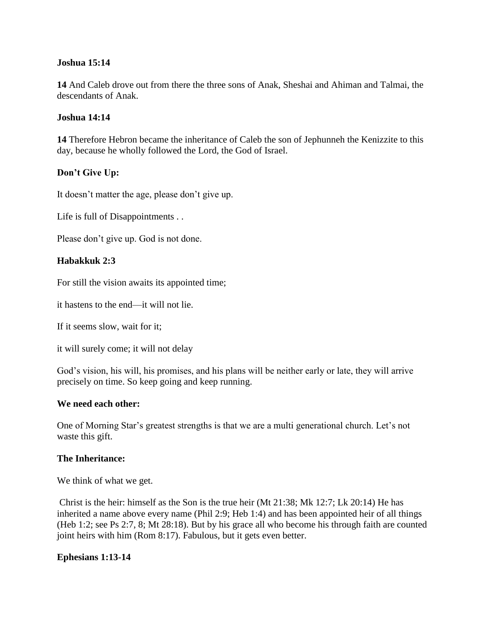## **Joshua 15:14**

**14** And Caleb drove out from there the three sons of Anak, Sheshai and Ahiman and Talmai, the descendants of Anak.

# **Joshua 14:14**

**14** Therefore Hebron became the inheritance of Caleb the son of Jephunneh the Kenizzite to this day, because he wholly followed the Lord, the God of Israel.

# **Don't Give Up:**

It doesn't matter the age, please don't give up.

Life is full of Disappointments . .

Please don't give up. God is not done.

## **Habakkuk 2:3**

For still the vision awaits its appointed time;

it hastens to the end—it will not lie.

If it seems slow, wait for it;

it will surely come; it will not delay

God's vision, his will, his promises, and his plans will be neither early or late, they will arrive precisely on time. So keep going and keep running.

## **We need each other:**

One of Morning Star's greatest strengths is that we are a multi generational church. Let's not waste this gift.

## **The Inheritance:**

We think of what we get.

Christ is the heir: himself as the Son is the true heir (Mt 21:38; Mk 12:7; Lk 20:14) He has inherited a name above every name (Phil 2:9; Heb 1:4) and has been appointed heir of all things (Heb 1:2; see Ps 2:7, 8; Mt 28:18). But by his grace all who become his through faith are counted joint heirs with him (Rom 8:17). Fabulous, but it gets even better.

## **Ephesians 1:13-14**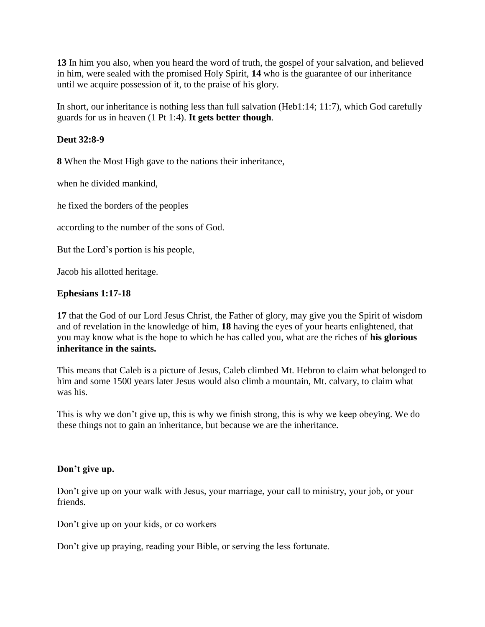**13** In him you also, when you heard the word of truth, the gospel of your salvation, and believed in him, were sealed with the promised Holy Spirit, **14** who is the guarantee of our inheritance until we acquire possession of it, to the praise of his glory.

In short, our inheritance is nothing less than full salvation (Heb1:14; 11:7), which God carefully guards for us in heaven (1 Pt 1:4). **It gets better though**.

# **Deut 32:8-9**

**8** When the Most High gave to the nations their inheritance,

when he divided mankind,

he fixed the borders of the peoples

according to the number of the sons of God.

But the Lord's portion is his people,

Jacob his allotted heritage.

# **Ephesians 1:17-18**

**17** that the God of our Lord Jesus Christ, the Father of glory, may give you the Spirit of wisdom and of revelation in the knowledge of him, **18** having the eyes of your hearts enlightened, that you may know what is the hope to which he has called you, what are the riches of **his glorious inheritance in the saints.**

This means that Caleb is a picture of Jesus, Caleb climbed Mt. Hebron to claim what belonged to him and some 1500 years later Jesus would also climb a mountain, Mt. calvary, to claim what was his.

This is why we don't give up, this is why we finish strong, this is why we keep obeying. We do these things not to gain an inheritance, but because we are the inheritance.

## **Don't give up.**

Don't give up on your walk with Jesus, your marriage, your call to ministry, your job, or your friends.

Don't give up on your kids, or co workers

Don't give up praying, reading your Bible, or serving the less fortunate.